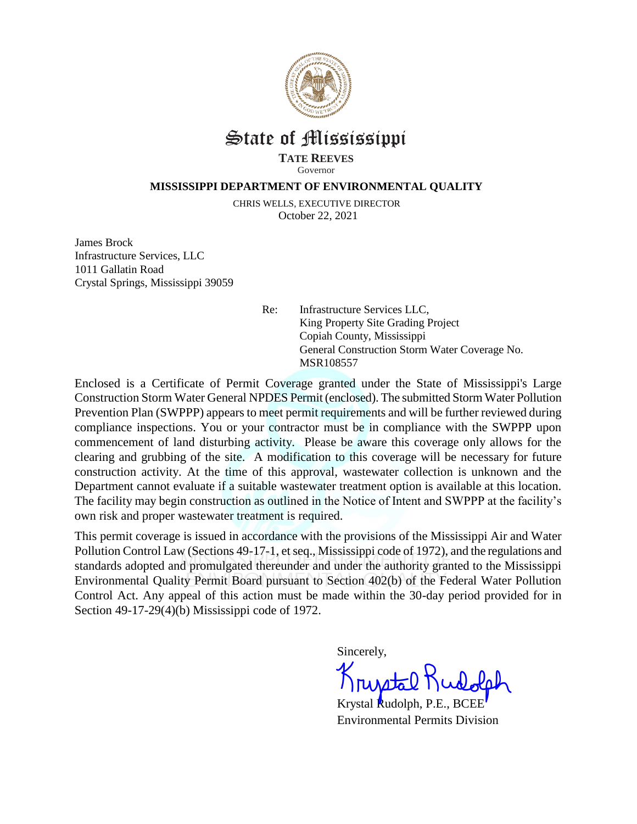

## State of Mississippi

**TATE REEVES** Governor

## **MISSISSIPPI DEPARTMENT OF ENVIRONMENTAL QUALITY**

CHRIS WELLS, EXECUTIVE DIRECTOR October 22, 2021

James Brock Infrastructure Services, LLC 1011 Gallatin Road Crystal Springs, Mississippi 39059

> Re: Infrastructure Services LLC, King Property Site Grading Project Copiah County, Mississippi General Construction Storm Water Coverage No. MSR108557

Enclosed is a Certificate of Permit Coverage granted under the State of Mississippi's Large Construction Storm Water General NPDES Permit (enclosed). The submitted Storm Water Pollution Prevention Plan (SWPPP) appears to meet permit requirements and will be further reviewed during compliance inspections. You or your contractor must be in compliance with the SWPPP upon commencement of land disturbing activity. Please be aware this coverage only allows for the clearing and grubbing of the site. A modification to this coverage will be necessary for future construction activity. At the time of this approval, wastewater collection is unknown and the Department cannot evaluate if a suitable wastewater treatment option is available at this location. The facility may begin construction as outlined in the Notice of Intent and SWPPP at the facility's own risk and proper wastewater treatment is required.

This permit coverage is issued in accordance with the provisions of the Mississippi Air and Water Pollution Control Law (Sections 49-17-1, et seq., Mississippi code of 1972), and the regulations and standards adopted and promulgated thereunder and under the authority granted to the Mississippi Environmental Quality Permit Board pursuant to Section 402(b) of the Federal Water Pollution Control Act. Any appeal of this action must be made within the 30-day period provided for in Section 49-17-29(4)(b) Mississippi code of 1972.

Sincerely,

Krystal Rudolph, P.E., BCEE Environmental Permits Division